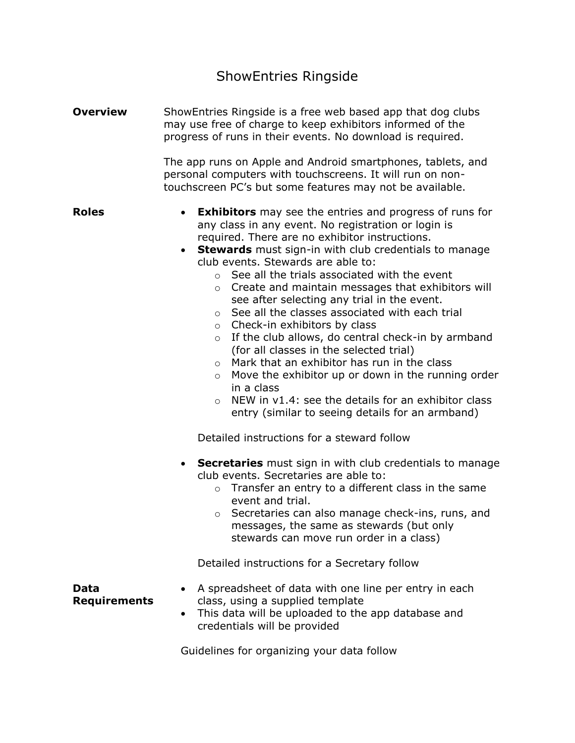# ShowEntries Ringside

| <b>Overview</b>             | ShowEntries Ringside is a free web based app that dog clubs<br>may use free of charge to keep exhibitors informed of the<br>progress of runs in their events. No download is required.                                                                                                                                                                                                                                                                                                                                                                                                                                                                                                                                                                                                                                                                                                                                                                                                                                                                                                                                                                                                                                                                                                                                                                                 |  |
|-----------------------------|------------------------------------------------------------------------------------------------------------------------------------------------------------------------------------------------------------------------------------------------------------------------------------------------------------------------------------------------------------------------------------------------------------------------------------------------------------------------------------------------------------------------------------------------------------------------------------------------------------------------------------------------------------------------------------------------------------------------------------------------------------------------------------------------------------------------------------------------------------------------------------------------------------------------------------------------------------------------------------------------------------------------------------------------------------------------------------------------------------------------------------------------------------------------------------------------------------------------------------------------------------------------------------------------------------------------------------------------------------------------|--|
|                             | The app runs on Apple and Android smartphones, tablets, and<br>personal computers with touchscreens. It will run on non-<br>touchscreen PC's but some features may not be available.                                                                                                                                                                                                                                                                                                                                                                                                                                                                                                                                                                                                                                                                                                                                                                                                                                                                                                                                                                                                                                                                                                                                                                                   |  |
| <b>Roles</b>                | <b>Exhibitors</b> may see the entries and progress of runs for<br>$\bullet$<br>any class in any event. No registration or login is<br>required. There are no exhibitor instructions.<br><b>Stewards</b> must sign-in with club credentials to manage<br>club events. Stewards are able to:<br>See all the trials associated with the event<br>$\circ$<br>$\circ$ Create and maintain messages that exhibitors will<br>see after selecting any trial in the event.<br>See all the classes associated with each trial<br>$\circ$<br>Check-in exhibitors by class<br>$\circ$<br>If the club allows, do central check-in by armband<br>$\circ$<br>(for all classes in the selected trial)<br>Mark that an exhibitor has run in the class<br>$\circ$<br>Move the exhibitor up or down in the running order<br>$\circ$<br>in a class<br>NEW in v1.4: see the details for an exhibitor class<br>$\circ$<br>entry (similar to seeing details for an armband)<br>Detailed instructions for a steward follow<br><b>Secretaries</b> must sign in with club credentials to manage<br>$\bullet$<br>club events. Secretaries are able to:<br>Transfer an entry to a different class in the same<br>$\circ$<br>event and trial.<br>Secretaries can also manage check-ins, runs, and<br>$\circ$<br>messages, the same as stewards (but only<br>stewards can move run order in a class) |  |
|                             | Detailed instructions for a Secretary follow                                                                                                                                                                                                                                                                                                                                                                                                                                                                                                                                                                                                                                                                                                                                                                                                                                                                                                                                                                                                                                                                                                                                                                                                                                                                                                                           |  |
| Data<br><b>Requirements</b> | A spreadsheet of data with one line per entry in each<br>class, using a supplied template<br>This data will be uploaded to the app database and<br>credentials will be provided                                                                                                                                                                                                                                                                                                                                                                                                                                                                                                                                                                                                                                                                                                                                                                                                                                                                                                                                                                                                                                                                                                                                                                                        |  |
|                             |                                                                                                                                                                                                                                                                                                                                                                                                                                                                                                                                                                                                                                                                                                                                                                                                                                                                                                                                                                                                                                                                                                                                                                                                                                                                                                                                                                        |  |

Guidelines for organizing your data follow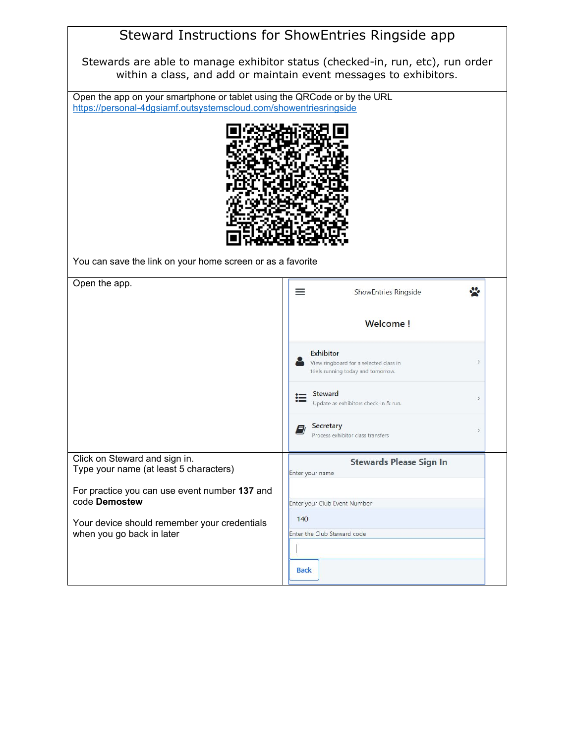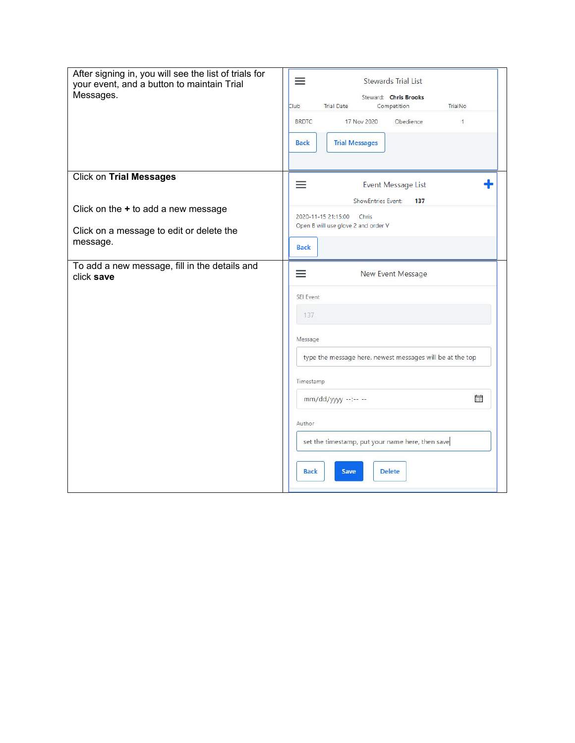| After signing in, you will see the list of trials for<br>your event, and a button to maintain Trial<br>Messages. | $\equiv$<br><b>Stewards Trial List</b><br>Steward: Chris Brooks<br><b>Trial Date</b><br>TrialNo<br>Club<br>Competition<br><b>BRDTC</b><br>17 Nov 2020<br>Obedience<br>$\mathbf{1}$<br><b>Trial Messages</b><br><b>Back</b>                                                 |
|------------------------------------------------------------------------------------------------------------------|----------------------------------------------------------------------------------------------------------------------------------------------------------------------------------------------------------------------------------------------------------------------------|
| <b>Click on Trial Messages</b><br>Click on the $+$ to add a new message                                          | ≡<br>Event Message List<br><b>ShowEntries Event:</b><br>137                                                                                                                                                                                                                |
| Click on a message to edit or delete the<br>message.                                                             | 2020-11-15 21:15:00<br>Chris<br>Open B will use glove 2 and order V<br><b>Back</b>                                                                                                                                                                                         |
| To add a new message, fill in the details and<br>click save                                                      | ≡<br>New Event Message<br>SEI Event<br>137<br>Message<br>type the message here. newest messages will be at the top<br>Timestamp<br>誧<br>$mm/dd/yyyy$ --:-- --<br>Author<br>set the timestamp, put your name here, then save<br><b>Back</b><br><b>Delete</b><br><b>Save</b> |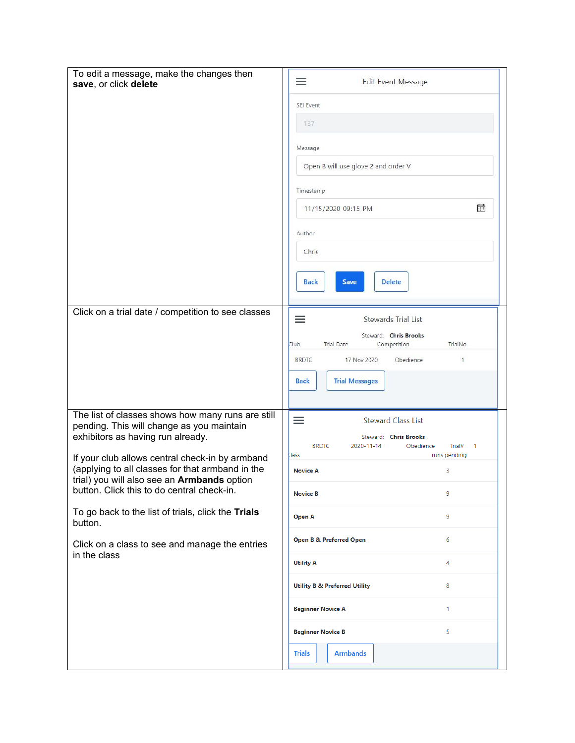| To edit a message, make the changes then<br>save, or click delete                                                                                                                                | ≡<br><b>Edit Event Message</b><br>SEI Event<br>137<br>Message<br>Open B will use glove 2 and order V<br>Timestamp<br>霝<br>11/15/2020 09:15 PM<br>Author<br>Chris                                                    |
|--------------------------------------------------------------------------------------------------------------------------------------------------------------------------------------------------|---------------------------------------------------------------------------------------------------------------------------------------------------------------------------------------------------------------------|
|                                                                                                                                                                                                  | <b>Back</b><br><b>Delete</b><br>Save                                                                                                                                                                                |
| Click on a trial date / competition to see classes                                                                                                                                               | $\equiv$<br><b>Stewards Trial List</b><br>Steward: Chris Brooks<br><b>Trial Date</b><br>TrialNo<br>Club<br>Competition<br><b>BRDTC</b><br>17 Nov 2020<br>Obedience<br>$\mathbf{1}$<br><b>Trial Messages</b><br>Back |
| The list of classes shows how many runs are still<br>pending. This will change as you maintain<br>exhibitors as having run already.                                                              | $\equiv$<br><b>Steward Class List</b><br>Steward: Chris Brooks<br><b>BRDTC</b><br>2020-11-14<br>$\blacksquare$<br>Obedience<br>Trial#                                                                               |
| If your club allows central check-in by armband<br>(applying to all classes for that armband in the<br>trial) you will also see an Armbands option<br>button. Click this to do central check-in. | runs pending<br>lass<br><b>Novice A</b><br>3<br><b>Novice B</b><br>9                                                                                                                                                |
| To go back to the list of trials, click the Trials<br>button.                                                                                                                                    | 9<br>Open A                                                                                                                                                                                                         |
| Click on a class to see and manage the entries<br>in the class                                                                                                                                   | <b>Open B &amp; Preferred Open</b><br>6                                                                                                                                                                             |
|                                                                                                                                                                                                  | 4<br><b>Utility A</b>                                                                                                                                                                                               |
|                                                                                                                                                                                                  | 8<br><b>Utility B &amp; Preferred Utility</b><br><b>Beginner Novice A</b><br>1                                                                                                                                      |
|                                                                                                                                                                                                  | 5<br><b>Beginner Novice B</b>                                                                                                                                                                                       |
|                                                                                                                                                                                                  | <b>Armbands</b><br><b>Trials</b>                                                                                                                                                                                    |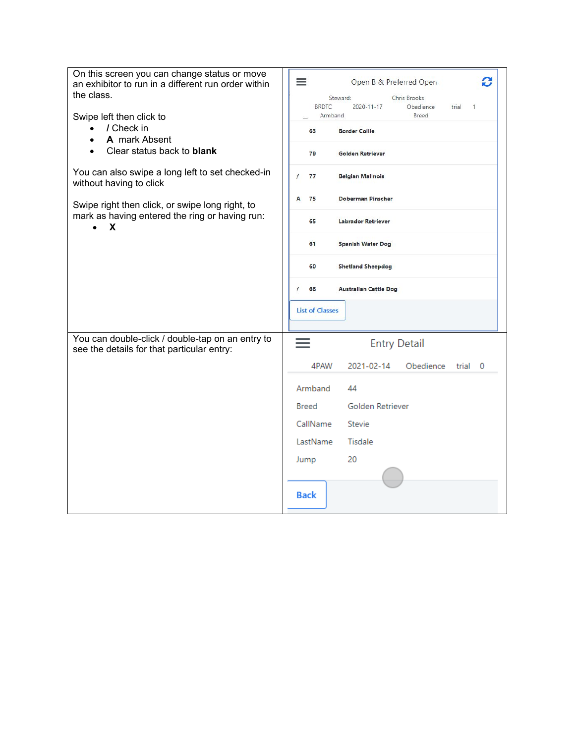| On this screen you can change status or move<br>an exhibitor to run in a different run order within<br>the class.<br>Swipe left then click to | C<br>$\equiv$<br>Open B & Preferred Open<br>Chris Brooks<br>Steward:<br><b>BRDTC</b><br>2020-11-17<br>Obedience<br>trial<br>1<br>Armband<br>Breed |
|-----------------------------------------------------------------------------------------------------------------------------------------------|---------------------------------------------------------------------------------------------------------------------------------------------------|
| / Check in<br>$\bullet$                                                                                                                       | 63<br><b>Border Collie</b>                                                                                                                        |
| A mark Absent                                                                                                                                 |                                                                                                                                                   |
| Clear status back to <b>blank</b>                                                                                                             | 79<br><b>Golden Retriever</b>                                                                                                                     |
| You can also swipe a long left to set checked-in<br>without having to click                                                                   | $\prime$<br>77<br><b>Belgian Malinois</b>                                                                                                         |
| Swipe right then click, or swipe long right, to                                                                                               | 75<br><b>Doberman Pinscher</b><br>A                                                                                                               |
| mark as having entered the ring or having run:<br>x                                                                                           | 65<br><b>Labrador Retriever</b>                                                                                                                   |
|                                                                                                                                               | 61<br><b>Spanish Water Dog</b>                                                                                                                    |
|                                                                                                                                               | 60<br><b>Shetland Sheepdog</b>                                                                                                                    |
|                                                                                                                                               | 68<br><b>Australian Cattle Dog</b>                                                                                                                |
|                                                                                                                                               | <b>List of Classes</b>                                                                                                                            |
| You can double-click / double-tap on an entry to<br>see the details for that particular entry:                                                | <b>Entry Detail</b>                                                                                                                               |
|                                                                                                                                               | 4PAW<br>2021-02-14<br>Obedience<br>trial<br>- 0                                                                                                   |
|                                                                                                                                               | Armband<br>44                                                                                                                                     |
|                                                                                                                                               | Golden Retriever<br><b>Breed</b>                                                                                                                  |
|                                                                                                                                               | CallName<br><b>Stevie</b>                                                                                                                         |
|                                                                                                                                               | LastName<br>Tisdale                                                                                                                               |
|                                                                                                                                               | 20<br>Jump                                                                                                                                        |
|                                                                                                                                               |                                                                                                                                                   |
|                                                                                                                                               | <b>Back</b>                                                                                                                                       |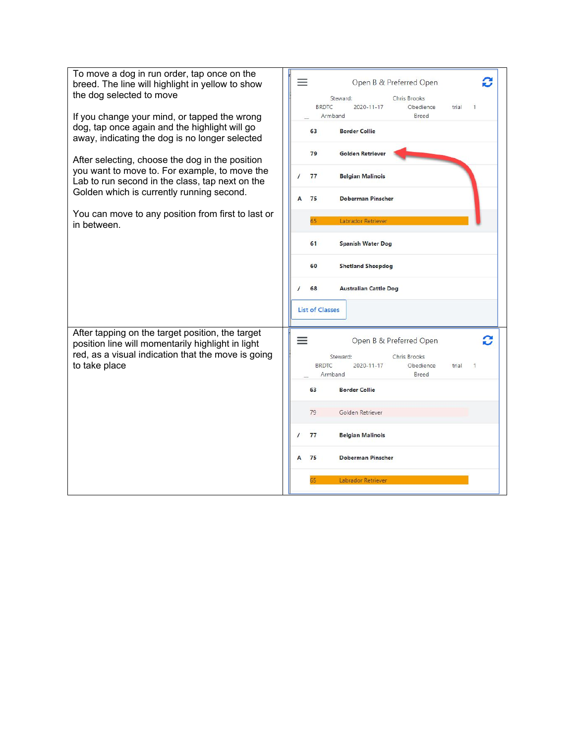| To move a dog in run order, tap once on the<br>breed. The line will highlight in yellow to show<br>the dog selected to move<br>If you change your mind, or tapped the wrong  | $\equiv$<br>Open B & Preferred Open<br>Chris Brooks<br>Steward:<br><b>BRDTC</b><br>2020-11-17<br>Obedience<br>trial<br>1<br>Breed<br>Armband      |
|------------------------------------------------------------------------------------------------------------------------------------------------------------------------------|---------------------------------------------------------------------------------------------------------------------------------------------------|
| dog, tap once again and the highlight will go<br>away, indicating the dog is no longer selected                                                                              | 63<br><b>Border Collie</b><br>79<br><b>Golden Retriever</b>                                                                                       |
| After selecting, choose the dog in the position<br>you want to move to. For example, to move the<br>Lab to run second in the class, tap next on the                          | <b>Belgian Malinois</b><br>77                                                                                                                     |
| Golden which is currently running second.                                                                                                                                    | 75<br><b>Doberman Pinscher</b><br>A                                                                                                               |
| You can move to any position from first to last or<br>in between.                                                                                                            | 65<br>Labrador Retriever                                                                                                                          |
|                                                                                                                                                                              | 61<br><b>Spanish Water Dog</b>                                                                                                                    |
|                                                                                                                                                                              | 60<br><b>Shetland Sheepdog</b>                                                                                                                    |
|                                                                                                                                                                              | 68<br><b>Australian Cattle Dog</b><br>$\prime$                                                                                                    |
|                                                                                                                                                                              | <b>List of Classes</b>                                                                                                                            |
| After tapping on the target position, the target<br>position line will momentarily highlight in light<br>red, as a visual indication that the move is going<br>to take place | C<br>$\equiv$<br>Open B & Preferred Open<br>Steward:<br>Chris Brooks<br><b>BRDTC</b><br>2020-11-17<br>Obedience<br>trial<br>1<br>Armband<br>Breed |
|                                                                                                                                                                              | 63<br><b>Border Collie</b>                                                                                                                        |
|                                                                                                                                                                              | 79<br>Golden Retriever                                                                                                                            |
|                                                                                                                                                                              | 77<br>$\prime$<br><b>Belgian Malinois</b>                                                                                                         |
|                                                                                                                                                                              | 75<br><b>Doberman Pinscher</b><br>A                                                                                                               |
|                                                                                                                                                                              | 65<br>Labrador Retriever                                                                                                                          |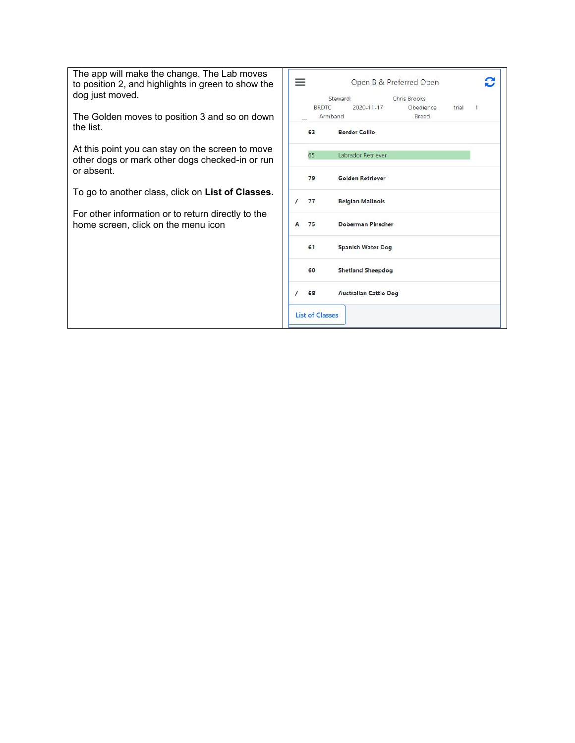The app will make the change. The Lab moves to position 2, and highlights in green to show the dog just moved.

The Golden moves to position 3 and so on down the list.

At this point you can stay on the screen to move other dogs or mark other dogs checked-in or run or absent.

To go to another class, click on **List of Classes.**

For other information or to return directly to the home screen, click on the menu icon

|          |      | Steward:                     | Chris Brooks      |  |  |
|----------|------|------------------------------|-------------------|--|--|
|          |      | BRDTC 2020-11-17             | Obedience trial 1 |  |  |
|          |      | Armband                      | Breed             |  |  |
|          | 63 7 | <b>Border Collie</b>         |                   |  |  |
|          | 65   | Labrador Retriever           |                   |  |  |
|          | 79   | <b>Golden Retriever</b>      |                   |  |  |
| $\prime$ | 77   | <b>Belgian Malinois</b>      |                   |  |  |
|          | A 75 | <b>Doberman Pinscher</b>     |                   |  |  |
|          | 61   | <b>Spanish Water Dog</b>     |                   |  |  |
|          | 60   | <b>Shetland Sheepdog</b>     |                   |  |  |
| $\prime$ | 68   | <b>Australian Cattle Dog</b> |                   |  |  |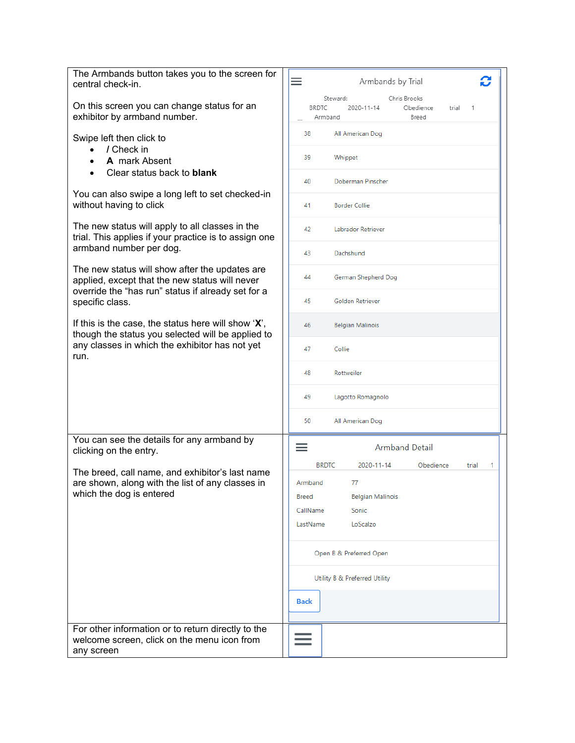| The Armbands button takes you to the screen for<br>central check-in.                                                                                   | C<br>≡<br>Armbands by Trial                                                                           |
|--------------------------------------------------------------------------------------------------------------------------------------------------------|-------------------------------------------------------------------------------------------------------|
| On this screen you can change status for an<br>exhibitor by armband number.                                                                            | Steward:<br>Chris Brooks<br><b>BRDTC</b><br>Obedience<br>2020-11-14<br>trial<br>1<br>Breed<br>Armband |
| Swipe left then click to<br>/ Check in<br>$\bullet$                                                                                                    | 38<br>All American Dog<br>39                                                                          |
| A mark Absent<br>Clear status back to <b>blank</b><br>$\bullet$                                                                                        | Whippet<br>Doberman Pinscher<br>40                                                                    |
| You can also swipe a long left to set checked-in<br>without having to click                                                                            | <b>Border Collie</b><br>41                                                                            |
| The new status will apply to all classes in the<br>trial. This applies if your practice is to assign one                                               | 42<br>Labrador Retriever                                                                              |
| armband number per dog.                                                                                                                                | 43<br>Dachshund                                                                                       |
| The new status will show after the updates are<br>applied, except that the new status will never<br>override the "has run" status if already set for a | 44<br>German Shepherd Dog                                                                             |
| specific class.                                                                                                                                        | 45<br>Golden Retriever                                                                                |
| If this is the case, the status here will show $X$ ,<br>though the status you selected will be applied to                                              | 46<br><b>Belgian Malinois</b>                                                                         |
| any classes in which the exhibitor has not yet<br>run.                                                                                                 | Collie<br>47                                                                                          |
|                                                                                                                                                        | 48<br>Rottweiler                                                                                      |
|                                                                                                                                                        | Lagotto Romagnolo<br>49                                                                               |
|                                                                                                                                                        | 50<br>All American Dog                                                                                |
| You can see the details for any armband by<br>clicking on the entry.                                                                                   | $\equiv$<br><b>Armband Detail</b>                                                                     |
| The breed, call name, and exhibitor's last name                                                                                                        | <b>BRDTC</b><br>2020-11-14<br>Obedience<br>1<br>trial                                                 |
| are shown, along with the list of any classes in<br>which the dog is entered                                                                           | 77<br>Armband<br><b>Belgian Malinois</b><br>Breed                                                     |
|                                                                                                                                                        | Sonic<br>CallName                                                                                     |
|                                                                                                                                                        | LoScalzo<br>LastName                                                                                  |
|                                                                                                                                                        | Open B & Preferred Open                                                                               |
|                                                                                                                                                        | Utility B & Preferred Utility                                                                         |
|                                                                                                                                                        | <b>Back</b>                                                                                           |
| For other information or to return directly to the<br>welcome screen, click on the menu icon from<br>any screen                                        |                                                                                                       |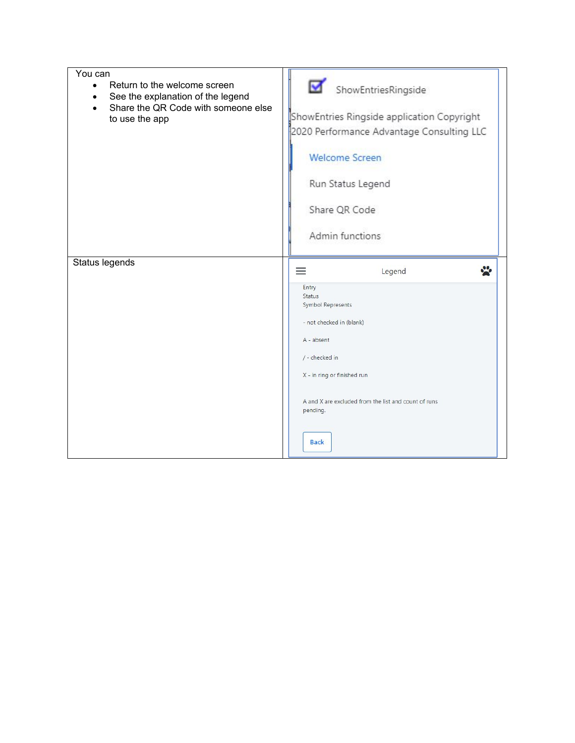| You can<br>Return to the welcome screen<br>$\bullet$<br>See the explanation of the legend<br>Share the QR Code with someone else<br>to use the app | ☑<br>ShowEntriesRingside<br>ShowEntries Ringside application Copyright<br>2020 Performance Advantage Consulting LLC<br><b>Welcome Screen</b><br>Run Status Legend<br>Share QR Code<br>Admin functions                                                |
|----------------------------------------------------------------------------------------------------------------------------------------------------|------------------------------------------------------------------------------------------------------------------------------------------------------------------------------------------------------------------------------------------------------|
| Status legends                                                                                                                                     | φ<br>Legend<br>$\equiv$<br>Entry<br><b>Status</b><br>Symbol Represents<br>- not checked in (blank)<br>A - absent<br>/ - checked in<br>X - in ring or finished run<br>A and X are excluded from the list and count of runs<br>pending.<br><b>Back</b> |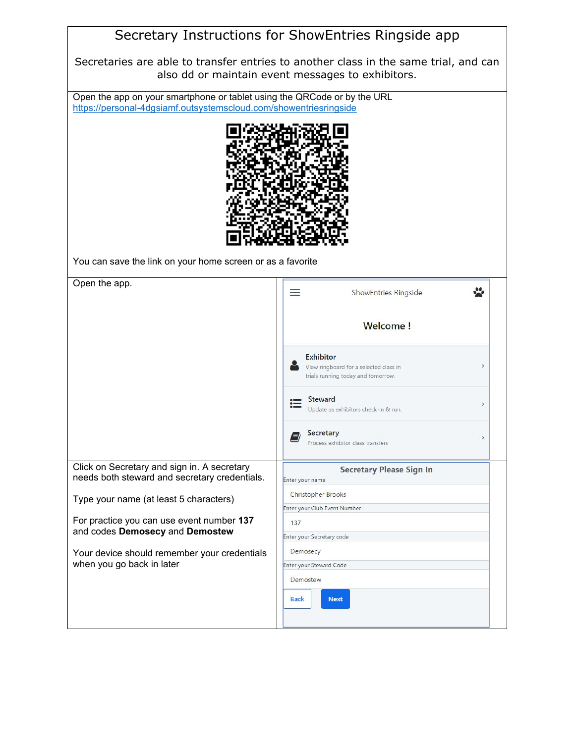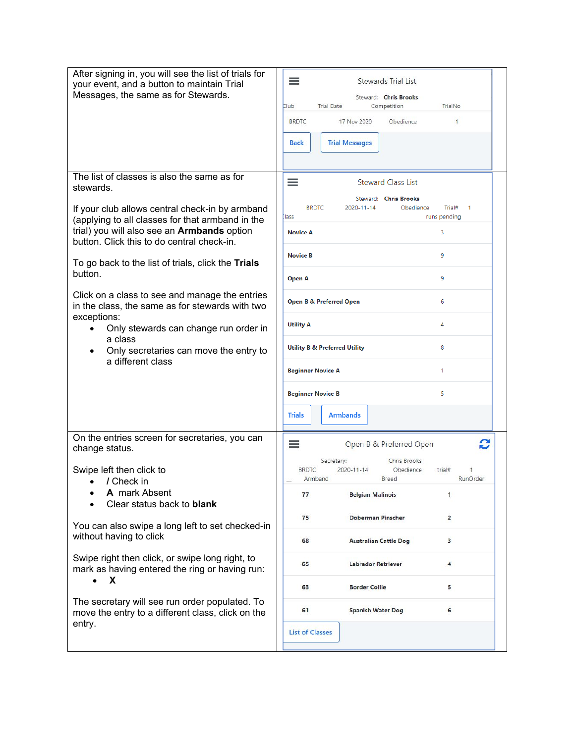| After signing in, you will see the list of trials for<br>your event, and a button to maintain Trial<br>Messages, the same as for Stewards.                                                                                                                                                                                | $\equiv$<br>Stewards Trial List<br>Steward: Chris Brooks<br>Club<br><b>Trial Date</b><br>TrialNo<br>Competition<br><b>BRDTC</b><br>17 Nov 2020<br>Obedience<br>$\mathbf{1}$<br><b>Back</b><br><b>Trial Messages</b> |
|---------------------------------------------------------------------------------------------------------------------------------------------------------------------------------------------------------------------------------------------------------------------------------------------------------------------------|---------------------------------------------------------------------------------------------------------------------------------------------------------------------------------------------------------------------|
| The list of classes is also the same as for<br>stewards.<br>If your club allows central check-in by armband<br>(applying to all classes for that armband in the<br>trial) you will also see an <b>Armbands</b> option<br>button. Click this to do central check-in.<br>To go back to the list of trials, click the Trials | ≡<br><b>Steward Class List</b><br>Steward: Chris Brooks<br><b>BRDTC</b><br>2020-11-14<br>Obedience<br>Trial#<br>$\mathbf{1}$<br>lass<br>runs pending<br><b>Novice A</b><br>3<br>9<br><b>Novice B</b>                |
| button.                                                                                                                                                                                                                                                                                                                   | 9<br>Open A                                                                                                                                                                                                         |
| Click on a class to see and manage the entries<br>in the class, the same as for stewards with two                                                                                                                                                                                                                         | <b>Open B &amp; Preferred Open</b><br>6                                                                                                                                                                             |
| exceptions:<br>Only stewards can change run order in<br>a class                                                                                                                                                                                                                                                           | 4<br><b>Utility A</b>                                                                                                                                                                                               |
| Only secretaries can move the entry to<br>a different class                                                                                                                                                                                                                                                               | <b>Utility B &amp; Preferred Utility</b><br>8                                                                                                                                                                       |
|                                                                                                                                                                                                                                                                                                                           | 1<br><b>Beginner Novice A</b>                                                                                                                                                                                       |
|                                                                                                                                                                                                                                                                                                                           | 5<br><b>Beginner Novice B</b><br><b>Armbands</b><br><b>Trials</b>                                                                                                                                                   |
| On the entries screen for secretaries, you can<br>change status.<br>Swipe left then click to<br>/ Check in<br>A mark Absent<br>Clear status back to <b>blank</b>                                                                                                                                                          | C<br>≡<br>Open B & Preferred Open<br>Secretary:<br>Chris Brooks<br><b>BRDTC</b><br>$2020 - 11 - 14$<br>Obedience<br>trial#<br>RunOrder<br>Armband<br>Breed<br>77<br><b>Belgian Malinois</b><br>1                    |
| You can also swipe a long left to set checked-in<br>without having to click<br>Swipe right then click, or swipe long right, to<br>mark as having entered the ring or having run:                                                                                                                                          | 75<br><b>Doberman Pinscher</b><br>$\overline{a}$                                                                                                                                                                    |
|                                                                                                                                                                                                                                                                                                                           | 68<br><b>Australian Cattle Dog</b><br>з<br>65<br><b>Labrador Retriever</b><br>4                                                                                                                                     |
| X<br>$\bullet$                                                                                                                                                                                                                                                                                                            | 63<br><b>Border Collie</b><br>5                                                                                                                                                                                     |
| The secretary will see run order populated. To<br>move the entry to a different class, click on the<br>entry.                                                                                                                                                                                                             | <b>Spanish Water Dog</b><br>6<br>61                                                                                                                                                                                 |
|                                                                                                                                                                                                                                                                                                                           | <b>List of Classes</b>                                                                                                                                                                                              |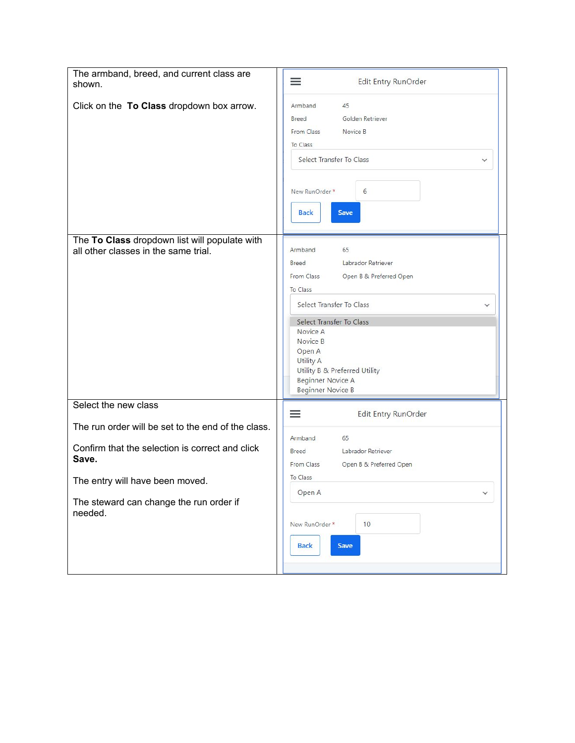| The armband, breed, and current class are<br>shown.                                   | $\equiv$<br>Edit Entry RunOrder                                                                                                                                                                                                                                                                   |
|---------------------------------------------------------------------------------------|---------------------------------------------------------------------------------------------------------------------------------------------------------------------------------------------------------------------------------------------------------------------------------------------------|
| Click on the To Class dropdown box arrow.                                             | 45<br>Armband<br>Golden Retriever<br><b>Breed</b><br>From Class<br>Novice B<br>To Class<br>Select Transfer To Class<br>✓<br>6<br>New RunOrder *<br><b>Back</b><br>Save                                                                                                                            |
| The To Class dropdown list will populate with<br>all other classes in the same trial. | 65<br>Armband<br>Labrador Retriever<br>Breed<br>From Class<br>Open B & Preferred Open<br>To Class<br>Select Transfer To Class<br>Select Transfer To Class<br>Novice A<br>Novice B<br>Open A<br><b>Utility A</b><br>Utility B & Preferred Utility<br><b>Beginner Novice A</b><br>Beginner Novice B |
| Select the new class                                                                  | Edit Entry RunOrder<br>≡                                                                                                                                                                                                                                                                          |
| The run order will be set to the end of the class.                                    |                                                                                                                                                                                                                                                                                                   |
| Confirm that the selection is correct and click<br>Save.                              | Armband<br>65<br>Labrador Retriever<br>Breed<br>From Class<br>Open B & Preferred Open                                                                                                                                                                                                             |
| The entry will have been moved.                                                       | To Class                                                                                                                                                                                                                                                                                          |
| The steward can change the run order if<br>needed.                                    | Open A<br>$\checkmark$<br>10<br>New RunOrder *<br><b>Back</b><br>Save                                                                                                                                                                                                                             |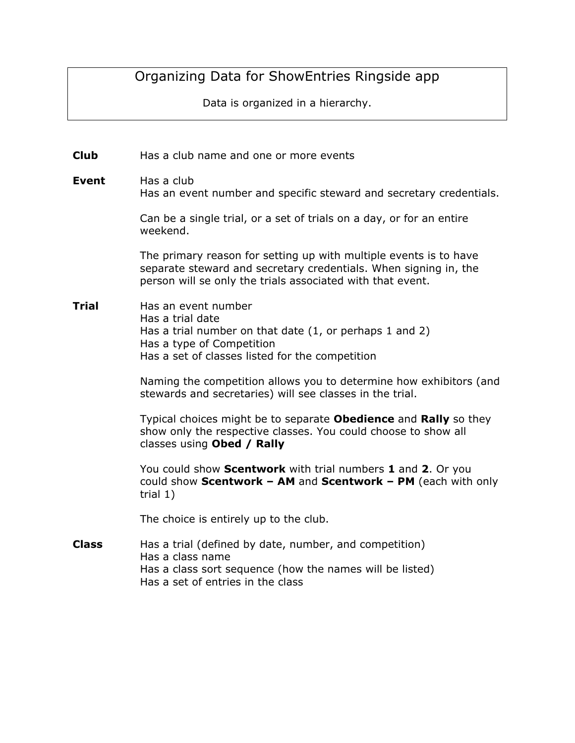# Organizing Data for ShowEntries Ringside app

Data is organized in a hierarchy.

**Club** Has a club name and one or more events

**Event** Has a club Has an event number and specific steward and secretary credentials.

> Can be a single trial, or a set of trials on a day, or for an entire weekend.

The primary reason for setting up with multiple events is to have separate steward and secretary credentials. When signing in, the person will se only the trials associated with that event.

#### **Trial** Has an event number Has a trial date Has a trial number on that date (1, or perhaps 1 and 2) Has a type of Competition Has a set of classes listed for the competition

Naming the competition allows you to determine how exhibitors (and stewards and secretaries) will see classes in the trial.

Typical choices might be to separate **Obedience** and **Rally** so they show only the respective classes. You could choose to show all classes using **Obed / Rally**

You could show **Scentwork** with trial numbers **1** and **2**. Or you could show **Scentwork – AM** and **Scentwork – PM** (each with only trial 1)

The choice is entirely up to the club.

**Class** Has a trial (defined by date, number, and competition) Has a class name Has a class sort sequence (how the names will be listed) Has a set of entries in the class